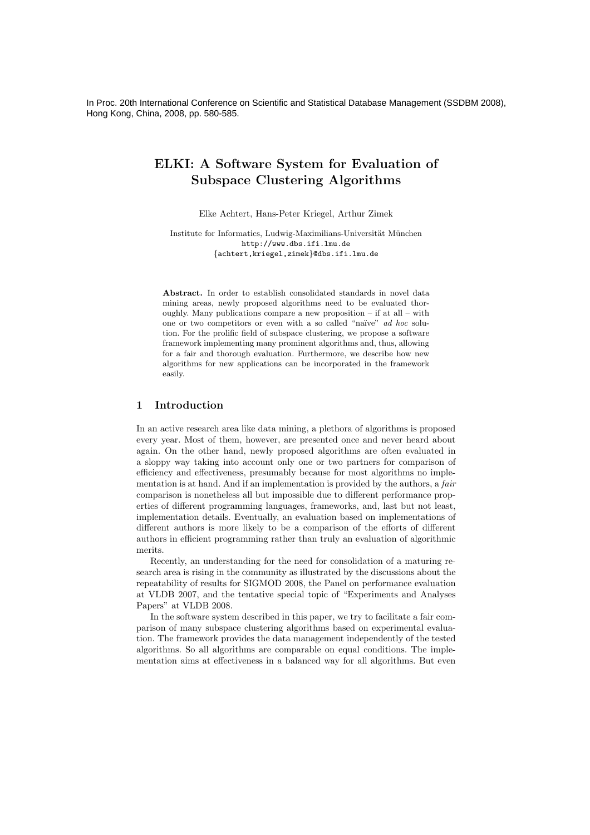In Proc. 20th International Conference on Scientific and Statistical Database Management (SSDBM 2008), Hong Kong, China, 2008, pp. 580-585.

# **ELKI: A Software System for Evaluation of Subspace Clustering Algorithms**

Elke Achtert, Hans-Peter Kriegel, Arthur Zimek

Institute for Informatics, Ludwig-Maximilians-Universität München http://www.dbs.ifi.lmu.de {achtert,kriegel,zimek}@dbs.ifi.lmu.de

**Abstract.** In order to establish consolidated standards in novel data mining areas, newly proposed algorithms need to be evaluated thoroughly. Many publications compare a new proposition  $-$  if at all  $-$  with one or two competitors or even with a so called "naïve" *ad hoc* solution. For the prolific field of subspace clustering, we propose a software framework implementing many prominent algorithms and, thus, allowing for a fair and thorough evaluation. Furthermore, we describe how new algorithms for new applications can be incorporated in the framework easily.

## **1 Introduction**

In an active research area like data mining, a plethora of algorithms is proposed every year. Most of them, however, are presented once and never heard about again. On the other hand, newly proposed algorithms are often evaluated in a sloppy way taking into account only one or two partners for comparison of efficiency and effectiveness, presumably because for most algorithms no implementation is at hand. And if an implementation is provided by the authors, a fair comparison is nonetheless all but impossible due to different performance properties of different programming languages, frameworks, and, last but not least, implementation details. Eventually, an evaluation based on implementations of different authors is more likely to be a comparison of the efforts of different authors in efficient programming rather than truly an evaluation of algorithmic merits.

Recently, an understanding for the need for consolidation of a maturing research area is rising in the community as illustrated by the discussions about the repeatability of results for SIGMOD 2008, the Panel on performance evaluation at VLDB 2007, and the tentative special topic of "Experiments and Analyses Papers" at VLDB 2008.

In the software system described in this paper, we try to facilitate a fair comparison of many subspace clustering algorithms based on experimental evaluation. The framework provides the data management independently of the tested algorithms. So all algorithms are comparable on equal conditions. The implementation aims at effectiveness in a balanced way for all algorithms. But even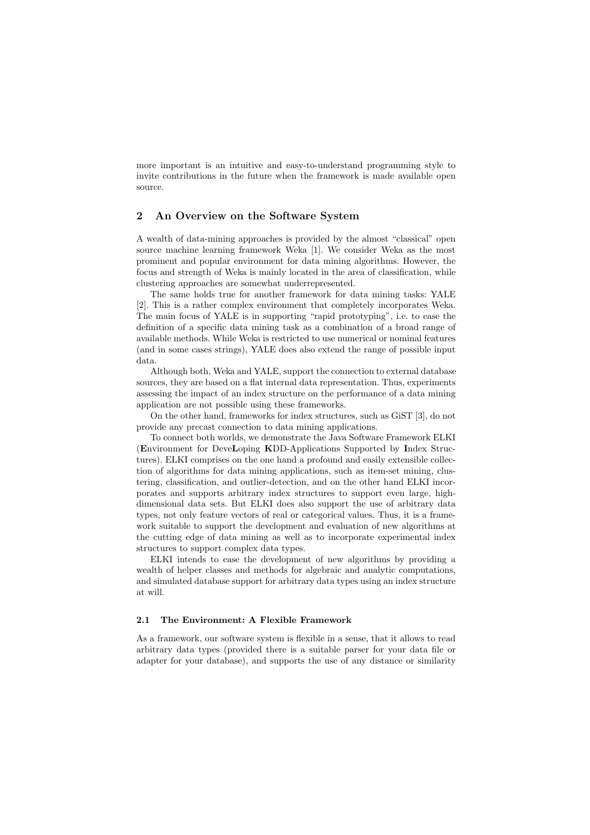more important is an intuitive and easy-to-understand programming style to invite contributions in the future when the framework is made available open source.

# **2 An Overview on the Software System**

A wealth of data-mining approaches is provided by the almost "classical" open source machine learning framework Weka [1]. We consider Weka as the most prominent and popular environment for data mining algorithms. However, the focus and strength of Weka is mainly located in the area of classification, while clustering approaches are somewhat underrepresented.

The same holds true for another framework for data mining tasks: YALE [2]. This is a rather complex environment that completely incorporates Weka. The main focus of YALE is in supporting "rapid prototyping", i.e. to ease the definition of a specific data mining task as a combination of a broad range of available methods. While Weka is restricted to use numerical or nominal features (and in some cases strings), YALE does also extend the range of possible input data.

Although both, Weka and YALE, support the connection to external database sources, they are based on a flat internal data representation. Thus, experiments assessing the impact of an index structure on the performance of a data mining application are not possible using these frameworks.

On the other hand, frameworks for index structures, such as GiST [3], do not provide any precast connection to data mining applications.

To connect both worlds, we demonstrate the Java Software Framework ELKI (**E**nvironment for Deve**L**oping **K**DD-Applications Supported by **I**ndex Structures). ELKI comprises on the one hand a profound and easily extensible collection of algorithms for data mining applications, such as item-set mining, clustering, classification, and outlier-detection, and on the other hand ELKI incorporates and supports arbitrary index structures to support even large, highdimensional data sets. But ELKI does also support the use of arbitrary data types, not only feature vectors of real or categorical values. Thus, it is a framework suitable to support the development and evaluation of new algorithms at the cutting edge of data mining as well as to incorporate experimental index structures to support complex data types.

ELKI intends to ease the development of new algorithms by providing a wealth of helper classes and methods for algebraic and analytic computations, and simulated database support for arbitrary data types using an index structure at will.

#### **2.1 The Environment: A Flexible Framework**

As a framework, our software system is flexible in a sense, that it allows to read arbitrary data types (provided there is a suitable parser for your data file or adapter for your database), and supports the use of any distance or similarity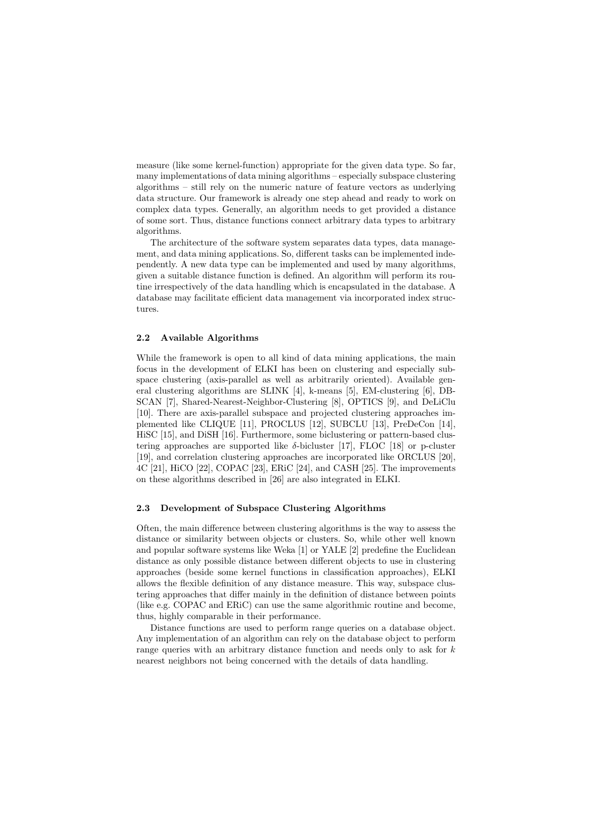measure (like some kernel-function) appropriate for the given data type. So far, many implementations of data mining algorithms – especially subspace clustering algorithms – still rely on the numeric nature of feature vectors as underlying data structure. Our framework is already one step ahead and ready to work on complex data types. Generally, an algorithm needs to get provided a distance of some sort. Thus, distance functions connect arbitrary data types to arbitrary algorithms.

The architecture of the software system separates data types, data management, and data mining applications. So, different tasks can be implemented independently. A new data type can be implemented and used by many algorithms, given a suitable distance function is defined. An algorithm will perform its routine irrespectively of the data handling which is encapsulated in the database. A database may facilitate efficient data management via incorporated index structures.

#### **2.2 Available Algorithms**

While the framework is open to all kind of data mining applications, the main focus in the development of ELKI has been on clustering and especially subspace clustering (axis-parallel as well as arbitrarily oriented). Available general clustering algorithms are SLINK [4], k-means [5], EM-clustering [6], DB-SCAN [7], Shared-Nearest-Neighbor-Clustering [8], OPTICS [9], and DeLiClu [10]. There are axis-parallel subspace and projected clustering approaches implemented like CLIQUE [11], PROCLUS [12], SUBCLU [13], PreDeCon [14], HiSC [15], and DiSH [16]. Furthermore, some biclustering or pattern-based clustering approaches are supported like  $\delta$ -bicluster [17], FLOC [18] or p-cluster [19], and correlation clustering approaches are incorporated like ORCLUS [20], 4C [21], HiCO [22], COPAC [23], ERiC [24], and CASH [25]. The improvements on these algorithms described in [26] are also integrated in ELKI.

#### **2.3 Development of Subspace Clustering Algorithms**

Often, the main difference between clustering algorithms is the way to assess the distance or similarity between objects or clusters. So, while other well known and popular software systems like Weka [1] or YALE [2] predefine the Euclidean distance as only possible distance between different objects to use in clustering approaches (beside some kernel functions in classification approaches), ELKI allows the flexible definition of any distance measure. This way, subspace clustering approaches that differ mainly in the definition of distance between points (like e.g. COPAC and ERiC) can use the same algorithmic routine and become, thus, highly comparable in their performance.

Distance functions are used to perform range queries on a database object. Any implementation of an algorithm can rely on the database object to perform range queries with an arbitrary distance function and needs only to ask for  $k$ nearest neighbors not being concerned with the details of data handling.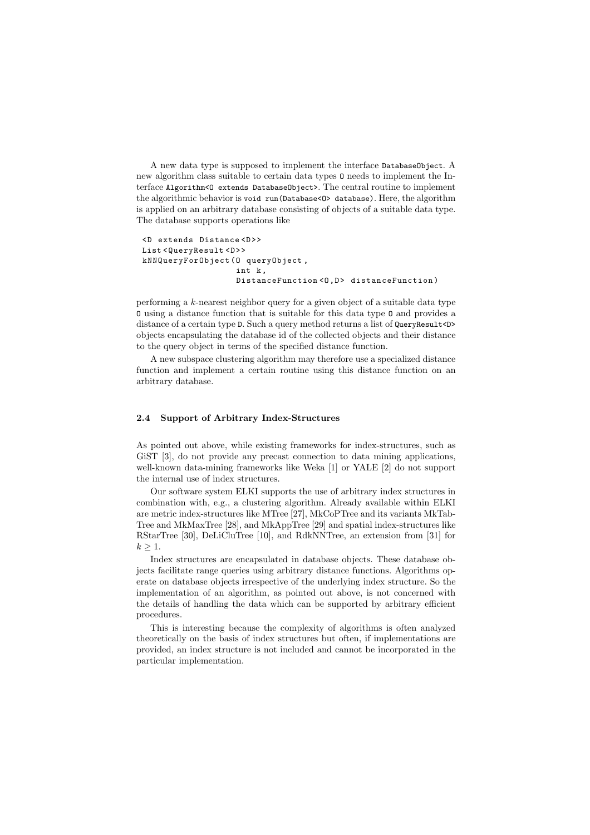A new data type is supposed to implement the interface DatabaseObject. A new algorithm class suitable to certain data types O needs to implement the Interface Algorithm<0 extends DatabaseObject>. The central routine to implement the algorithmic behavior is void run(Database<D>database). Here, the algorithm is applied on an arbitrary database consisting of objects of a suitable data type. The database supports operations like

```
<D extends Distance <D>>
List <QueryResult <D>>
kNNQueryForObject(O queryObject ,
                   int k,
                   DistanceFunction <O,D> distanceFunction)
```
performing a k-nearest neighbor query for a given object of a suitable data type O using a distance function that is suitable for this data type O and provides a distance of a certain type D. Such a query method returns a list of QueryResult<D> objects encapsulating the database id of the collected objects and their distance to the query object in terms of the specified distance function.

A new subspace clustering algorithm may therefore use a specialized distance function and implement a certain routine using this distance function on an arbitrary database.

## **2.4 Support of Arbitrary Index-Structures**

As pointed out above, while existing frameworks for index-structures, such as GiST [3], do not provide any precast connection to data mining applications, well-known data-mining frameworks like Weka [1] or YALE [2] do not support the internal use of index structures.

Our software system ELKI supports the use of arbitrary index structures in combination with, e.g., a clustering algorithm. Already available within ELKI are metric index-structures like MTree [27], MkCoPTree and its variants MkTab-Tree and MkMaxTree [28], and MkAppTree [29] and spatial index-structures like RStarTree [30], DeLiCluTree [10], and RdkNNTree, an extension from [31] for  $k > 1$ .

Index structures are encapsulated in database objects. These database objects facilitate range queries using arbitrary distance functions. Algorithms operate on database objects irrespective of the underlying index structure. So the implementation of an algorithm, as pointed out above, is not concerned with the details of handling the data which can be supported by arbitrary efficient procedures.

This is interesting because the complexity of algorithms is often analyzed theoretically on the basis of index structures but often, if implementations are provided, an index structure is not included and cannot be incorporated in the particular implementation.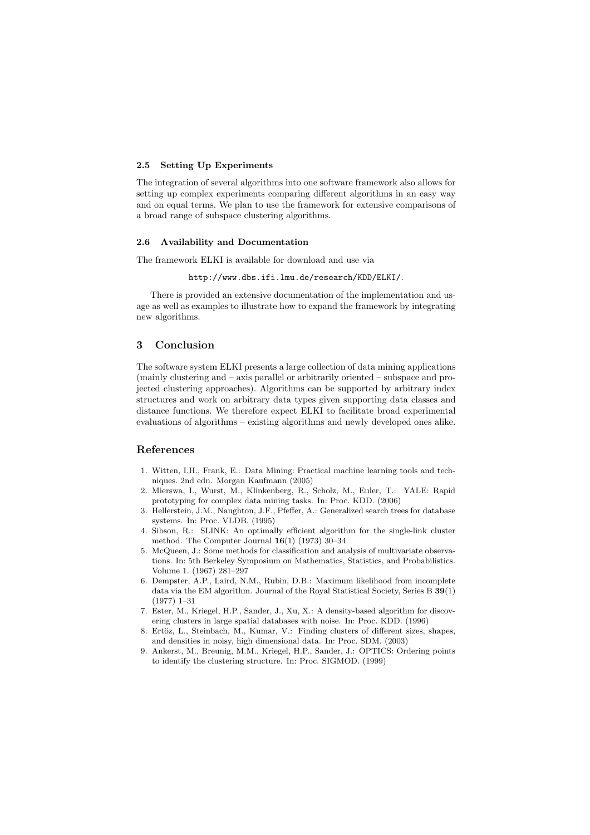### **2.5 Setting Up Experiments**

The integration of several algorithms into one software framework also allows for setting up complex experiments comparing different algorithms in an easy way and on equal terms. We plan to use the framework for extensive comparisons of a broad range of subspace clustering algorithms.

#### **2.6 Availability and Documentation**

The framework ELKI is available for download and use via

http://www.dbs.ifi.lmu.de/research/KDD/ELKI/.

There is provided an extensive documentation of the implementation and usage as well as examples to illustrate how to expand the framework by integrating new algorithms.

# **3 Conclusion**

The software system ELKI presents a large collection of data mining applications (mainly clustering and – axis parallel or arbitrarily oriented – subspace and projected clustering approaches). Algorithms can be supported by arbitrary index structures and work on arbitrary data types given supporting data classes and distance functions. We therefore expect ELKI to facilitate broad experimental evaluations of algorithms – existing algorithms and newly developed ones alike.

# **References**

- 1. Witten, I.H., Frank, E.: Data Mining: Practical machine learning tools and techniques. 2nd edn. Morgan Kaufmann (2005)
- 2. Mierswa, I., Wurst, M., Klinkenberg, R., Scholz, M., Euler, T.: YALE: Rapid prototyping for complex data mining tasks. In: Proc. KDD. (2006)
- 3. Hellerstein, J.M., Naughton, J.F., Pfeffer, A.: Generalized search trees for database systems. In: Proc. VLDB. (1995)
- 4. Sibson, R.: SLINK: An optimally efficient algorithm for the single-link cluster method. The Computer Journal **16**(1) (1973) 30–34
- 5. McQueen, J.: Some methods for classification and analysis of multivariate observations. In: 5th Berkeley Symposium on Mathematics, Statistics, and Probabilistics. Volume 1. (1967) 281–297
- 6. Dempster, A.P., Laird, N.M., Rubin, D.B.: Maximum likelihood from incomplete data via the EM algorithm. Journal of the Royal Statistical Society, Series B **39**(1) (1977) 1–31
- 7. Ester, M., Kriegel, H.P., Sander, J., Xu, X.: A density-based algorithm for discovering clusters in large spatial databases with noise. In: Proc. KDD. (1996)
- 8. Ertöz, L., Steinbach, M., Kumar, V.: Finding clusters of different sizes, shapes, and densities in noisy, high dimensional data. In: Proc. SDM. (2003)
- 9. Ankerst, M., Breunig, M.M., Kriegel, H.P., Sander, J.: OPTICS: Ordering points to identify the clustering structure. In: Proc. SIGMOD. (1999)